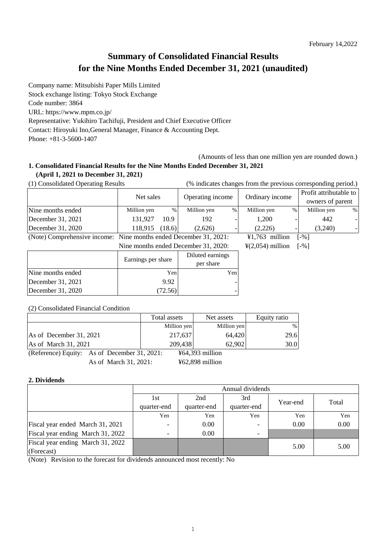# **Summary of Consolidated Financial Results for the Nine Months Ended December 31, 2021 (unaudited)**

Company name: Mitsubishi Paper Mills Limited

Code number: 3864 URL: https://www.mpm.co.jp/ Representative: Yukihiro Tachifuji, President and Chief Executive Officer Contact: Hiroyuki Ino,General Manager, Finance & Accounting Dept. Phone: +81-3-5600-1407 Stock exchange listing: Tokyo Stock Exchange

(Amounts of less than one million yen are rounded down.)

# **1. Consolidated Financial Results for the Nine Months Ended December 31, 2021 (April 1, 2021 to December 31, 2021)**

(1) Consolidated Operating Results (% indicates changes from the previous corresponding period.)

|                              | Net sales                            |         | Operating income             |      | Ordinary income     |   | Profit attributable to<br>owners of parent |   |
|------------------------------|--------------------------------------|---------|------------------------------|------|---------------------|---|--------------------------------------------|---|
|                              |                                      |         |                              |      |                     |   |                                            |   |
| Nine months ended            | Million yen                          | %       | Million yen                  | $\%$ | Million yen         | % | Million yen                                | % |
| December 31, 2021            | 131,927                              | 10.9    | 192                          |      | 1,200               |   | 442                                        |   |
| December 31, 2020            | 118,915                              | (18.6)  | (2,626)                      |      | (2,226)             |   | (3,240)                                    |   |
| (Note) Comprehensive income: | Nine months ended December 31, 2021: |         | $¥1,763$ million             |      | $\lceil -\% \rceil$ |   |                                            |   |
|                              | Nine months ended December 31, 2020: |         | $\frac{1}{2}(2,054)$ million |      | $\lceil -\% \rceil$ |   |                                            |   |
|                              | Earnings per share                   |         | Diluted earnings             |      |                     |   |                                            |   |
|                              |                                      |         | per share                    |      |                     |   |                                            |   |
| Nine months ended            |                                      | Yen     |                              | Yen  |                     |   |                                            |   |
| December 31, 2021            |                                      | 9.92    |                              |      |                     |   |                                            |   |
| December 31, 2020            |                                      | (72.56) |                              |      |                     |   |                                            |   |

#### (2) Consolidated Financial Condition

|                                              | Total assets | Net assets        | Equity ratio |
|----------------------------------------------|--------------|-------------------|--------------|
|                                              | Million yen  | Million yen       | $\%$         |
| As of December 31, 2021                      | 217,637      | 64.420            | 29.6         |
| As of March 31, 2021                         | 209,438      | 62.902            | 30.0         |
| (Reference) Equity: As of December 31, 2021: |              | $464,393$ million |              |

As of March 31, 2021: ¥62,898 million

## **2. Dividends**

|                                   | Annual dividends |             |             |          |       |
|-----------------------------------|------------------|-------------|-------------|----------|-------|
|                                   | 1st              | 2nd         | 3rd         | Year-end | Total |
|                                   | quarter-end      | quarter-end | quarter-end |          |       |
|                                   | Yen              | Yen         | Yen         | Yen      | Yen   |
| Fiscal year ended March 31, 2021  |                  | 0.00        | -           | 0.00     | 0.00  |
| Fiscal year ending March 31, 2022 |                  | 0.00        |             |          |       |
| Fiscal year ending March 31, 2022 |                  |             |             | 5.00     | 5.00  |
| (Forecast)                        |                  |             |             |          |       |

(Note) Revision to the forecast for dividends announced most recently: No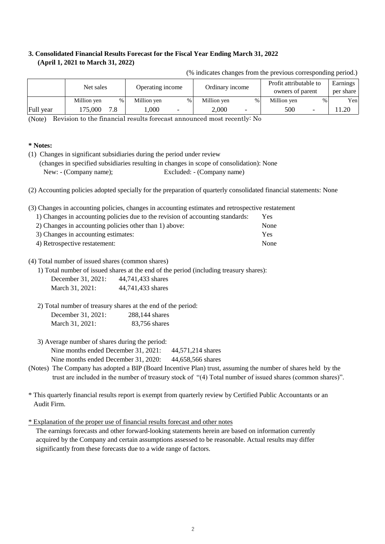## **3. Consolidated Financial Results Forecast for the Fiscal Year Ending March 31, 2022 (April 1, 2021 to March 31, 2022)**

|           | Net sales   |      | Operating income |      | Ordinary income |                          | Profit attributable to<br>owners of parent |                          | Earnings<br>per share |
|-----------|-------------|------|------------------|------|-----------------|--------------------------|--------------------------------------------|--------------------------|-----------------------|
|           | Million yen | $\%$ | Million yen      | $\%$ | Million yen     | $\%$                     | Million yen                                | %                        | Yen                   |
| Full year | 175,000     |      | ,000             |      | 2,000           | $\overline{\phantom{0}}$ | 500                                        | $\overline{\phantom{0}}$ | 1.20                  |

(% indicates changes from the previous corresponding period.)

(Note) Revision to the financial results forecast announced most recently: No

#### **\* Notes:**

(1) Changes in significant subsidiaries during the period under review (changes in specified subsidiaries resulting in changes in scope of consolidation): None New: - (Company name); Excluded: - (Company name)

(2) Accounting policies adopted specially for the preparation of quarterly consolidated financial statements: None

(3) Changes in accounting policies, changes in accounting estimates and retrospective restatement

| 1) Changes in accounting policies due to the revision of accounting standards: | Yes. |
|--------------------------------------------------------------------------------|------|
| 2) Changes in accounting policies other than 1) above:                         | None |
| 3) Changes in accounting estimates:                                            | Yes  |
| 4) Retrospective restatement:                                                  | None |

#### (4) Total number of issued shares (common shares)

1) Total number of issued shares at the end of the period (including treasury shares):

| December 31, 2021: | 44,741,433 shares |
|--------------------|-------------------|
| March 31, 2021:    | 44,741,433 shares |

 2) Total number of treasury shares at the end of the period: December 31, 2021: 288,144 shares

| - - - - - - - - - - - - - - - - | ____________  |
|---------------------------------|---------------|
| March 31, 2021:                 | 83,756 shares |

3) Average number of shares during the period:

Nine months ended December 31, 2021: 44,571,214 shares

Nine months ended December 31, 2020: 44,658,566 shares

- (Notes) The Company has adopted a BIP (Board Incentive Plan) trust, assuming the number of shares held by the trust are included in the number of treasury stock of "(4) Total number of issued shares (common shares)".
- \* This quarterly financial results report is exempt from quarterly review by Certified Public Accountants or an Audit Firm.

\* Explanation of the proper use of financial results forecast and other notes

acquired by the Company and certain assumptions assessed to be reasonable. Actual results may differ significantly from these forecasts due to a wide range of factors. The earnings forecasts and other forward-looking statements herein are based on information currently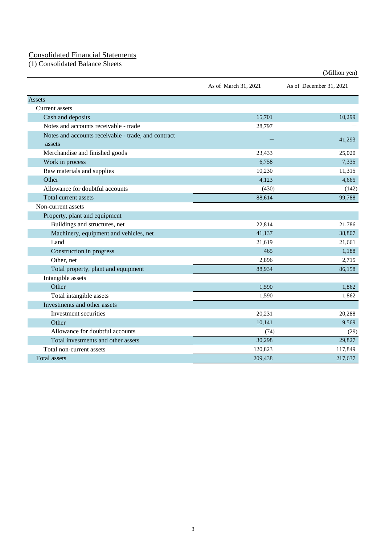### Consolidated Financial Statements

(1) Consolidated Balance Sheets

|                                                     |                      | (Million yen)           |
|-----------------------------------------------------|----------------------|-------------------------|
|                                                     | As of March 31, 2021 | As of December 31, 2021 |
| Assets                                              |                      |                         |
| <b>Current</b> assets                               |                      |                         |
| Cash and deposits                                   | 15,701               | 10,299                  |
| Notes and accounts receivable - trade               | 28,797               |                         |
| Notes and accounts receivable - trade, and contract |                      |                         |
| assets                                              |                      | 41,293                  |
| Merchandise and finished goods                      | 23,433               | 25,020                  |
| Work in process                                     | 6,758                | 7,335                   |
| Raw materials and supplies                          | 10,230               | 11,315                  |
| Other                                               | 4,123                | 4,665                   |
| Allowance for doubtful accounts                     | (430)                | (142)                   |
| Total current assets                                | 88,614               | 99,788                  |
| Non-current assets                                  |                      |                         |
| Property, plant and equipment                       |                      |                         |
| Buildings and structures, net                       | 22,814               | 21,786                  |
| Machinery, equipment and vehicles, net              | 41,137               | 38,807                  |
| Land                                                | 21,619               | 21,661                  |
| Construction in progress                            | 465                  | 1,188                   |
| Other, net                                          | 2,896                | 2,715                   |
| Total property, plant and equipment                 | 88,934               | 86,158                  |
| Intangible assets                                   |                      |                         |
| Other                                               | 1,590                | 1,862                   |
| Total intangible assets                             | 1,590                | 1,862                   |
| Investments and other assets                        |                      |                         |
| Investment securities                               | 20,231               | 20,288                  |
| Other                                               | 10,141               | 9,569                   |
| Allowance for doubtful accounts                     | (74)                 | (29)                    |
| Total investments and other assets                  | 30,298               | 29,827                  |
| Total non-current assets                            | 120,823              | 117,849                 |
| <b>Total assets</b>                                 | 209,438              | 217,637                 |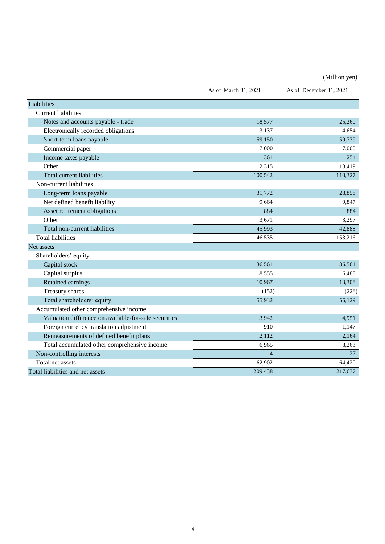(Million yen)

|                                                       | As of March 31, 2021 | As of December 31, 2021 |
|-------------------------------------------------------|----------------------|-------------------------|
| Liabilities                                           |                      |                         |
| <b>Current liabilities</b>                            |                      |                         |
| Notes and accounts payable - trade                    | 18,577               | 25,260                  |
| Electronically recorded obligations                   | 3,137                | 4,654                   |
| Short-term loans payable                              | 59,150               | 59,739                  |
| Commercial paper                                      | 7,000                | 7,000                   |
| Income taxes payable                                  | 361                  | 254                     |
| Other                                                 | 12,315               | 13,419                  |
| Total current liabilities                             | 100,542              | 110,327                 |
| Non-current liabilities                               |                      |                         |
| Long-term loans payable                               | 31,772               | 28,858                  |
| Net defined benefit liability                         | 9,664                | 9,847                   |
| Asset retirement obligations                          | 884                  | 884                     |
| Other                                                 | 3,671                | 3,297                   |
| Total non-current liabilities                         | 45,993               | 42,888                  |
| <b>Total liabilities</b>                              | 146,535              | 153,216                 |
| Net assets                                            |                      |                         |
| Shareholders' equity                                  |                      |                         |
| Capital stock                                         | 36,561               | 36,561                  |
| Capital surplus                                       | 8,555                | 6,488                   |
| Retained earnings                                     | 10,967               | 13,308                  |
| Treasury shares                                       | (152)                | (228)                   |
| Total shareholders' equity                            | 55,932               | 56,129                  |
| Accumulated other comprehensive income                |                      |                         |
| Valuation difference on available-for-sale securities | 3,942                | 4,951                   |
| Foreign currency translation adjustment               | 910                  | 1,147                   |
| Remeasurements of defined benefit plans               | 2,112                | 2,164                   |
| Total accumulated other comprehensive income          | 6,965                | 8,263                   |
| Non-controlling interests                             | $\overline{4}$       | 27                      |
| Total net assets                                      | 62,902               | 64,420                  |
| Total liabilities and net assets                      | 209,438              | 217,637                 |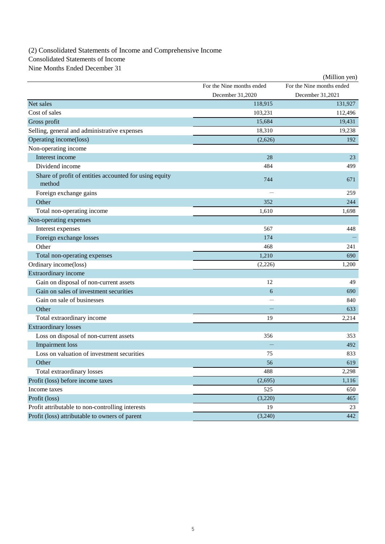(2) Consolidated Statements of Income and Comprehensive Income Consolidated Statements of Income Nine Months Ended December 31

|                                                                  |                           | (Million yen)             |
|------------------------------------------------------------------|---------------------------|---------------------------|
|                                                                  | For the Nine months ended | For the Nine months ended |
|                                                                  | December 31,2020          | December 31,2021          |
| Net sales                                                        | 118,915                   | 131,927                   |
| Cost of sales                                                    | 103,231                   | 112,496                   |
| Gross profit                                                     | 15,684                    | 19,431                    |
| Selling, general and administrative expenses                     | 18,310                    | 19,238                    |
| Operating income(loss)                                           | (2,626)                   | 192                       |
| Non-operating income                                             |                           |                           |
| Interest income                                                  | 28                        | 23                        |
| Dividend income                                                  | 484                       | 499                       |
| Share of profit of entities accounted for using equity<br>method | 744                       | 671                       |
| Foreign exchange gains                                           |                           | 259                       |
| Other                                                            | 352                       | 244                       |
| Total non-operating income                                       | 1,610                     | 1.698                     |
| Non-operating expenses                                           |                           |                           |
| Interest expenses                                                | 567                       | 448                       |
| Foreign exchange losses                                          | 174                       |                           |
| Other                                                            | 468                       | 241                       |
| Total non-operating expenses                                     | 1,210                     | 690                       |
| Ordinary income(loss)                                            | (2,226)                   | 1,200                     |
| Extraordinary income                                             |                           |                           |
| Gain on disposal of non-current assets                           | 12                        | 49                        |
| Gain on sales of investment securities                           | 6                         | 690                       |
| Gain on sale of businesses                                       |                           | 840                       |
| Other                                                            |                           | 633                       |
| Total extraordinary income                                       | 19                        | 2,214                     |
| <b>Extraordinary losses</b>                                      |                           |                           |
| Loss on disposal of non-current assets                           | 356                       | 353                       |
| <b>Impairment</b> loss                                           |                           | 492                       |
| Loss on valuation of investment securities                       | 75                        | 833                       |
| Other                                                            | 56                        | 619                       |
| Total extraordinary losses                                       | 488                       | 2,298                     |
| Profit (loss) before income taxes                                | (2,695)                   | 1,116                     |
| Income taxes                                                     | 525                       | 650                       |
| Profit (loss)                                                    | (3,220)                   | 465                       |
| Profit attributable to non-controlling interests                 | 19                        | 23                        |
| Profit (loss) attributable to owners of parent                   | (3,240)                   | 442                       |